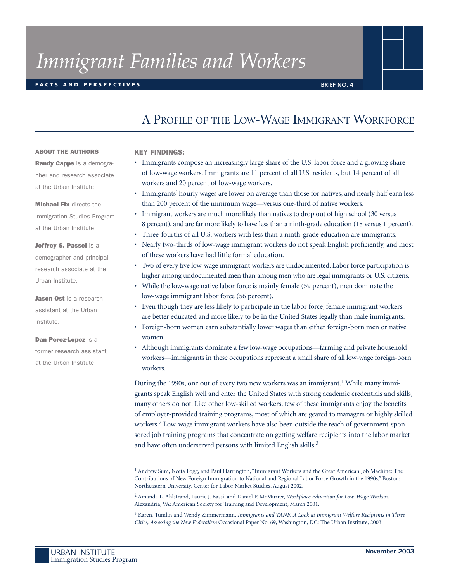# *Immigrant Families and Workers*

# **F ACTS AND PERSPECTIVES**

# A PROFILE OF THE LOW-WAGE IMMIGRANT WORKFORCE

#### **ABOUT THE AUTHORS**

**Randy Capps** is a demographer and research associate at the Urban Institute.

**Michael Fix** directs the Immigration Studies Program at the Urban Institute.

# **Jeffrey S. Passel** is a

demographer and principal research associate at the Urban Institute.

**Jason Ost** is a research assistant at the Urban Institute.

**Dan Perez-Lopez** is a former research assistant at the Urban Institute.

## **KEY FINDINGS:**

- Immigrants compose an increasingly large share of the U.S. labor force and a growing share of low-wage workers. Immigrants are 11 percent of all U.S. residents, but 14 percent of all workers and 20 percent of low-wage workers.
- Immigrants' hourly wages are lower on average than those for natives, and nearly half earn less than 200 percent of the minimum wage—versus one-third of native workers.
- Immigrant workers are much more likely than natives to drop out of high school (30 versus 8 percent), and are far more likely to have less than a ninth-grade education (18 versus 1 percent).
- Three-fourths of all U.S. workers with less than a ninth-grade education are immigrants.
- Nearly two-thirds of low-wage immigrant workers do not speak English proficiently, and most of these workers have had little formal education.
- Two of every five low-wage immigrant workers are undocumented. Labor force participation is higher among undocumented men than among men who are legal immigrants or U.S. citizens.
- While the low-wage native labor force is mainly female (59 percent), men dominate the low-wage immigrant labor force (56 percent).
- Even though they are less likely to participate in the labor force, female immigrant workers are better educated and more likely to be in the United States legally than male immigrants.
- Foreign-born women earn substantially lower wages than either foreign-born men or native women.
- Although immigrants dominate a few low-wage occupations—farming and private household workers—immigrants in these occupations represent a small share of all low-wage foreign-born workers.

During the 1990s, one out of every two new workers was an immigrant.<sup>1</sup> While many immigrants speak English well and enter the United States with strong academic credentials and skills, many others do not. Like other low-skilled workers, few of these immigrants enjoy the benefits of employer-provided training programs, most of which are geared to managers or highly skilled workers.<sup>2</sup> Low-wage immigrant workers have also been outside the reach of government-sponsored job training programs that concentrate on getting welfare recipients into the labor market and have often underserved persons with limited English skills.<sup>3</sup>

<sup>&</sup>lt;sup>1</sup> Andrew Sum, Neeta Fogg, and Paul Harrington, "Immigrant Workers and the Great American Job Machine: The Contributions of New Foreign Immigration to National and Regional Labor Force Growth in the 1990s," Boston: Northeastern University, Center for Labor Market Studies, August 2002.

<sup>2</sup> Amanda L. Ahlstrand, Laurie J. Bassi, and Daniel P. McMurrer, *Workplace Education for Low-Wage Workers*, Alexandria, VA: American Society for Training and Development, March 2001.

<sup>3</sup> Karen, Tumlin and Wendy Zimmermann, *Immigrants and TANF: A Look at Immigrant Welfare Recipients in Three Cities*, *Assessing the New Federalism* Occasional Paper No. 69, Washington, DC: The Urban Institute, 2003.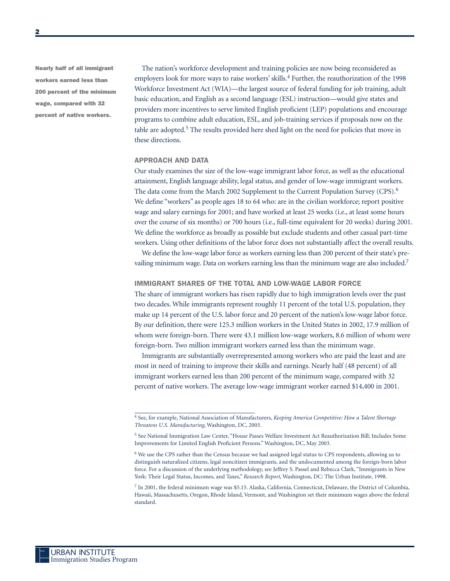**Nearly half of all immigrant workers earned less than 200 percent of the minimum wage, compared with 32 percent of native workers.**

The nation's workforce development and training policies are now being reconsidered as employers look for more ways to raise workers' skills.<sup>4</sup> Further, the reauthorization of the 1998 Workforce Investment Act (WIA)—the largest source of federal funding for job training, adult basic education, and English as a second language (ESL) instruction—would give states and providers more incentives to serve limited English proficient (LEP) populations and encourage programs to combine adult education, ESL, and job-training services if proposals now on the table are adopted.<sup>5</sup> The results provided here shed light on the need for policies that move in these directions.

#### **APPROACH AND DATA**

Our study examines the size of the low-wage immigrant labor force, as well as the educational attainment, English language ability, legal status, and gender of low-wage immigrant workers. The data come from the March 2002 Supplement to the Current Population Survey (CPS).<sup>6</sup> We define "workers" as people ages 18 to 64 who: are in the civilian workforce; report positive wage and salary earnings for 2001; and have worked at least 25 weeks (i.e., at least some hours over the course of six months) or 700 hours (i.e., full-time equivalent for 20 weeks) during 2001. We define the workforce as broadly as possible but exclude students and other casual part-time workers. Using other definitions of the labor force does not substantially affect the overall results.

We define the low-wage labor force as workers earning less than 200 percent of their state's prevailing minimum wage. Data on workers earning less than the minimum wage are also included.<sup>7</sup>

#### **IMMIGRANT SHARES OF THE TOTAL AND LOW-WAGE LABOR FORCE**

The share of immigrant workers has risen rapidly due to high immigration levels over the past two decades. While immigrants represent roughly 11 percent of the total U.S. population, they make up 14 percent of the U.S. labor force and 20 percent of the nation's low-wage labor force. By our definition, there were 125.3 million workers in the United States in 2002, 17.9 million of whom were foreign-born. There were 43.1 million low-wage workers, 8.6 million of whom were foreign-born. Two million immigrant workers earned less than the minimum wage.

Immigrants are substantially overrepresented among workers who are paid the least and are most in need of training to improve their skills and earnings. Nearly half (48 percent) of all immigrant workers earned less than 200 percent of the minimum wage, compared with 32 percent of native workers. The average low-wage immigrant worker earned \$14,400 in 2001.

<sup>4</sup> See, for example, National Association of Manufacturers, *Keeping America Competitive: How a Talent Shortage Threatens U.S. Manufacturing*, Washington, DC, 2003.

<sup>5</sup> See National Immigration Law Center, "House Passes Welfare Investment Act Reauthorization Bill; Includes Some Improvements for Limited English Proficient Persons." Washington, DC, May 2003.

<sup>6</sup> We use the CPS rather than the Census because we had assigned legal status to CPS respondents, allowing us to distinguish naturalized citizens, legal noncitizen immigrants, and the undocumented among the foreign-born labor force. For a discussion of the underlying methodology, see Jeffrey S. Passel and Rebecca Clark, "Immigrants in New York: Their Legal Status, Incomes, and Taxes," *Research Report*, Washington, DC: The Urban Institute, 1998.

<sup>7</sup> In 2001, the federal minimum wage was \$5.15. Alaska, California, Connecticut, Delaware, the District of Columbia, Hawaii, Massachusetts, Oregon, Rhode Island, Vermont, and Washington set their minimum wages above the federal standard.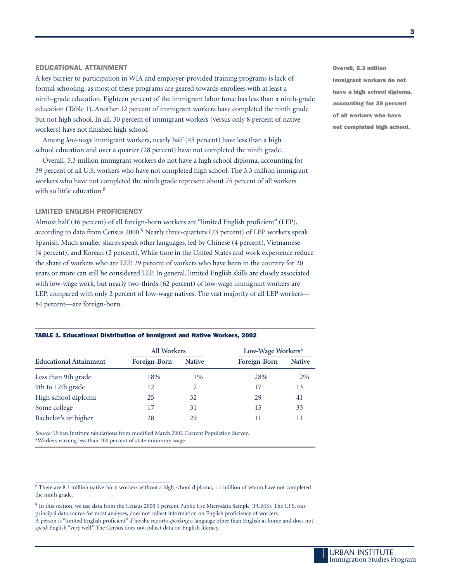#### **EDUCATIONAL ATTAINMENT**

A key barrier to participation in WIA and employer-provided training programs is lack of formal schooling, as most of these programs are geared towards enrollees with at least a ninth-grade education. Eighteen percent of the immigrant labor force has less than a ninth-grade education (Table 1). Another 12 percent of immigrant workers have completed the ninth grade but not high school. In all, 30 percent of immigrant workers (versus only 8 percent of native workers) have not finished high school.

Among *low-wage* immigrant workers, nearly half (45 percent) have less than a high school education and over a quarter (28 percent) have not completed the ninth grade.

Overall, 5.3 million immigrant workers do not have a high school diploma, accounting for 39 percent of all U.S. workers who have not completed high school. The 3.3 million immigrant workers who have not completed the ninth grade represent about 75 percent of all workers with so little education.<sup>8</sup>

#### **LIMITED ENGLISH PROFICIENCY**

Almost half (46 percent) of all foreign-born workers are "limited English proficient" (LEP), according to data from Census 2000.<sup>9</sup> Nearly three-quarters (73 percent) of LEP workers speak Spanish. Much smaller shares speak other languages, led by Chinese (4 percent), Vietnamese (4 percent), and Korean (2 percent). While time in the United States and work experience reduce the share of workers who are LEP, 29 percent of workers who have been in the country for 20 years or more can still be considered LEP. In general, limited English skills are closely associated with low-wage work, but nearly two-thirds (62 percent) of low-wage immigrant workers are LEP, compared with only 2 percent of low-wage natives. The vast majority of all LEP workers— 84 percent—are foreign-born.

#### **TABLE 1. Educational Distribution of Immigrant and Native Workers, 2002**

|                               | <b>All Workers</b> |               | Low-Wage Workers <sup>a</sup> |               |
|-------------------------------|--------------------|---------------|-------------------------------|---------------|
| <b>Educational Attainment</b> | Foreign-Born       | <b>Native</b> | Foreign-Born                  | <b>Native</b> |
| Less than 9th grade           | 18%                | 1%            | 28%                           | 2%            |
| 9th to 12th grade             | 12                 |               | 17                            | 13            |
| High school diploma           | 25                 | 32            | 29                            | 41            |
| Some college                  | 17                 | 31            | 15                            | 33            |
| Bachelor's or higher          | 28                 | 29            | 11                            |               |

*Source:* Urban Institute tabulations from modified March 2002 Current Population Survey. aWorkers earning less than 200 percent of state minimum wage.

**Overall, 5.3 million immigrant workers do not have a high school diploma, accounting for 39 percent of all workers who have not completed high school.**

<sup>&</sup>lt;sup>8</sup> There are 8.3 million native-born workers without a high school diploma, 1.1 million of whom have not completed the ninth grade.

<sup>9</sup> In this section, we use data from the Census 2000 1 percent Public Use Microdata Sample (PUMS). The CPS, our principal data source for most analyses, does not collect information on English proficiency of workers. A person is "limited English proficient" if he/she reports *speaking* a language other than English at home and does not *speak* English "very well." The Census does not collect data on English literacy.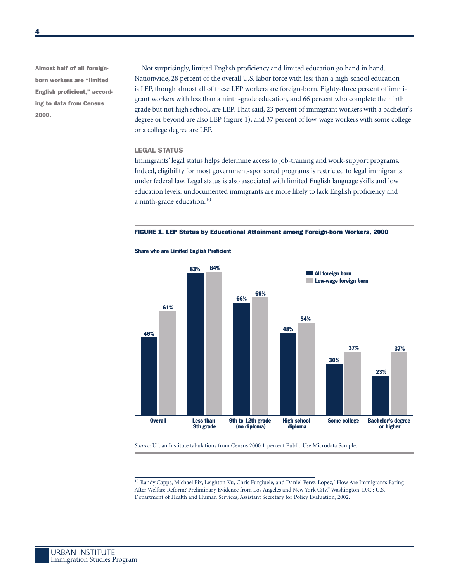**Almost half of all foreignborn workers are "limited English proficient," according to data from Census 2000.**

Not surprisingly, limited English proficiency and limited education go hand in hand. Nationwide, 28 percent of the overall U.S. labor force with less than a high-school education is LEP, though almost all of these LEP workers are foreign-born. Eighty-three percent of immigrant workers with less than a ninth-grade education, and 66 percent who complete the ninth grade but not high school, are LEP. That said, 23 percent of immigrant workers with a bachelor's degree or beyond are also LEP (figure 1), and 37 percent of low-wage workers with some college or a college degree are LEP.

#### **LEGAL STATUS**

Immigrants' legal status helps determine access to job-training and work-support programs. Indeed, eligibility for most government-sponsored programs is restricted to legal immigrants under federal law. Legal status is also associated with limited English language skills and low education levels: undocumented immigrants are more likely to lack English proficiency and a ninth-grade education.<sup>10</sup>





*Source:* Urban Institute tabulations from Census 2000 1-percent Public Use Microdata Sample.

<sup>10</sup> Randy Capps, Michael Fix, Leighton Ku, Chris Furgiuele, and Daniel Perez-Lopez, "How Are Immigrants Faring After Welfare Reform? Preliminary Evidence from Los Angeles and New York City." Washington, D.C.: U.S. Department of Health and Human Services, Assistant Secretary for Policy Evaluation, 2002.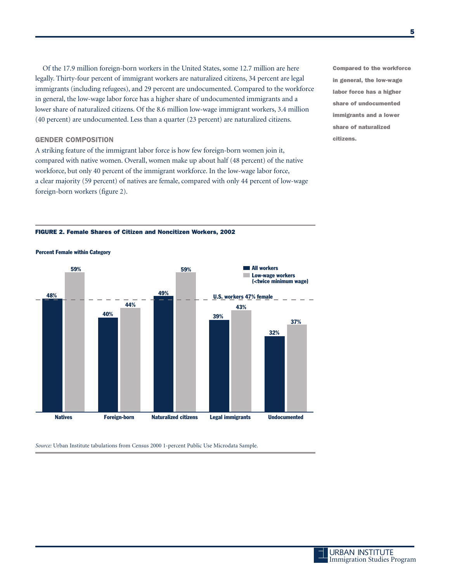Of the 17.9 million foreign-born workers in the United States, some 12.7 million are here legally. Thirty-four percent of immigrant workers are naturalized citizens, 34 percent are legal immigrants (including refugees), and 29 percent are undocumented. Compared to the workforce in general, the low-wage labor force has a higher share of undocumented immigrants and a lower share of naturalized citizens. Of the 8.6 million low-wage immigrant workers, 3.4 million (40 percent) are undocumented. Less than a quarter (23 percent) are naturalized citizens.

#### **GENDER COMPOSITION**

A striking feature of the immigrant labor force is how few foreign-born women join it, compared with native women. Overall, women make up about half (48 percent) of the native workforce, but only 40 percent of the immigrant workforce. In the low-wage labor force, a clear majority (59 percent) of natives are female, compared with only 44 percent of low-wage foreign-born workers (figure 2).

**Compared to the workforce in general, the low-wage labor force has a higher share of undocumented immigrants and a lower share of naturalized citizens.** 

#### **FIGURE 2. Female Shares of Citizen and Noncitizen Workers, 2002**



**Percent Female within Category**

*Source:* Urban Institute tabulations from Census 2000 1-percent Public Use Microdata Sample.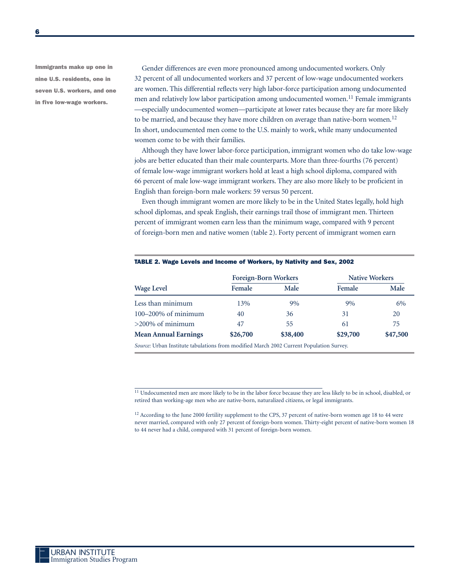**Immigrants make up one in nine U.S. residents, one in seven U.S. workers, and one in five low-wage workers.**

Gender differences are even more pronounced among undocumented workers. Only 32 percent of all undocumented workers and 37 percent of low-wage undocumented workers are women. This differential reflects very high labor-force participation among undocumented men and relatively low labor participation among undocumented women.<sup>11</sup> Female immigrants —especially undocumented women—participate at lower rates because they are far more likely to be married, and because they have more children on average than native-born women.<sup>12</sup> In short, undocumented men come to the U.S. mainly to work, while many undocumented women come to be with their families.

Although they have lower labor-force participation, immigrant women who do take low-wage jobs are better educated than their male counterparts. More than three-fourths (76 percent) of female low-wage immigrant workers hold at least a high school diploma, compared with 66 percent of male low-wage immigrant workers. They are also more likely to be proficient in English than foreign-born male workers: 59 versus 50 percent.

Even though immigrant women are more likely to be in the United States legally, hold high school diplomas, and speak English, their earnings trail those of immigrant men. Thirteen percent of immigrant women earn less than the minimum wage, compared with 9 percent of foreign-born men and native women (table 2). Forty percent of immigrant women earn

| <b>Wage Level</b>                                                                       | <b>Foreign-Born Workers</b> |          | <b>Native Workers</b> |          |
|-----------------------------------------------------------------------------------------|-----------------------------|----------|-----------------------|----------|
|                                                                                         | Female                      | Male     | Female                | Male     |
| Less than minimum                                                                       | 13%                         | 9%       | 9%                    | 6%       |
| $100-200\%$ of minimum                                                                  | 40                          | 36       | 31                    | 20       |
| $>200\%$ of minimum                                                                     | 47                          | 55       | 61                    | 75       |
| <b>Mean Annual Earnings</b>                                                             | \$26,700                    | \$38,400 | \$29,700              | \$47,500 |
| Source: Urban Institute tabulations from modified March 2002 Current Population Survey. |                             |          |                       |          |

#### **TABLE 2. Wage Levels and Income of Workers, by Nativity and Sex, 2002**

<sup>11</sup> Undocumented men are more likely to be in the labor force because they are less likely to be in school, disabled, or retired than working-age men who are native-born, naturalized citizens, or legal immigrants.

<sup>12</sup> According to the June 2000 fertility supplement to the CPS, 37 percent of native-born women age 18 to 44 were never married, compared with only 27 percent of foreign-born women. Thirty-eight percent of native-born women 18 to 44 never had a child, compared with 31 percent of foreign-born women.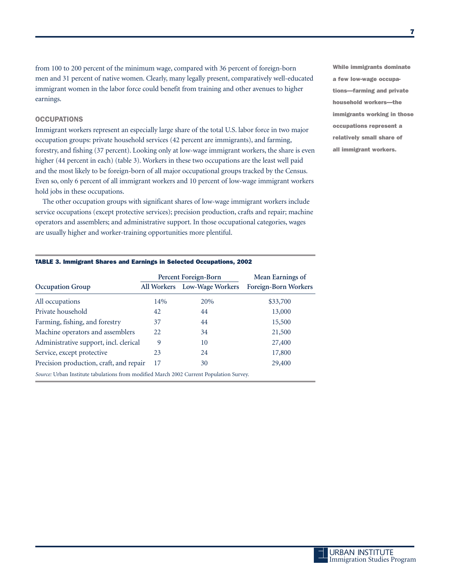from 100 to 200 percent of the minimum wage, compared with 36 percent of foreign-born men and 31 percent of native women. Clearly, many legally present, comparatively well-educated immigrant women in the labor force could benefit from training and other avenues to higher earnings.

### **OCCUPATIONS**

Immigrant workers represent an especially large share of the total U.S. labor force in two major occupation groups: private household services (42 percent are immigrants), and farming, forestry, and fishing (37 percent). Looking only at low-wage immigrant workers, the share is even higher (44 percent in each) (table 3). Workers in these two occupations are the least well paid and the most likely to be foreign-born of all major occupational groups tracked by the Census. Even so, only 6 percent of all immigrant workers and 10 percent of low-wage immigrant workers hold jobs in these occupations.

The other occupation groups with significant shares of low-wage immigrant workers include service occupations (except protective services); precision production, crafts and repair; machine operators and assemblers; and administrative support. In those occupational categories, wages are usually higher and worker-training opportunities more plentiful.

**While immigrants dominate a few low-wage occupations—farming and private household workers—the immigrants working in those occupations represent a relatively small share of all immigrant workers.**

|                                                                                         |     | Percent Foreign-Born         | Mean Earnings of            |  |  |  |  |
|-----------------------------------------------------------------------------------------|-----|------------------------------|-----------------------------|--|--|--|--|
| <b>Occupation Group</b>                                                                 |     | All Workers Low-Wage Workers | <b>Foreign-Born Workers</b> |  |  |  |  |
| All occupations                                                                         | 14% | 20%                          | \$33,700                    |  |  |  |  |
| Private household                                                                       | 42  | 44                           | 13,000                      |  |  |  |  |
| Farming, fishing, and forestry                                                          | 37  | 44                           | 15,500                      |  |  |  |  |
| Machine operators and assemblers                                                        | 22. | 34                           | 21,500                      |  |  |  |  |
| Administrative support, incl. clerical                                                  | 9   | 10                           | 27,400                      |  |  |  |  |
| Service, except protective                                                              | 23  | 24                           | 17,800                      |  |  |  |  |
| Precision production, craft, and repair                                                 | 17  | 30                           | 29,400                      |  |  |  |  |
| Source: Urban Institute tabulations from modified March 2002 Current Population Survey. |     |                              |                             |  |  |  |  |

#### **TABLE 3. Immigrant Shares and Earnings in Selected Occupations, 2002**